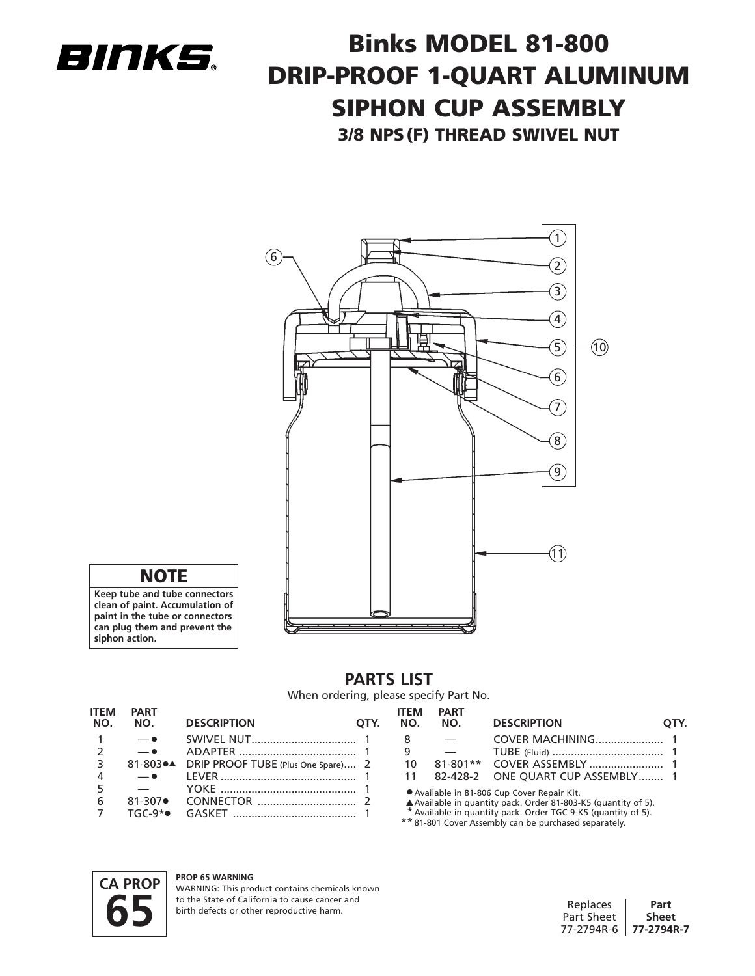

# **Binks MODEL 81-800 DRIP-PROOF 1-QUART ALUMINUM SIPHON CUP ASSEMBLY 3/8 NPS(F) THREAD SWIVEL NUT**



**NOTE**

**Keep tube and tube connectors clean of paint. Accumulation of paint in the tube or connectors can plug them and prevent the siphon action.**

## **PARTS LIST** When ordering, please specify Part No.

| <b>ITEM</b><br>NO. | <b>PART</b><br>NO.     | <b>DESCRIPTION</b>                 | OTY. | ITEM<br>NO. | <b>PART</b><br>NO.                                                                                                                                                                                                                    | <b>DESCRIPTION</b>       | DTY. |
|--------------------|------------------------|------------------------------------|------|-------------|---------------------------------------------------------------------------------------------------------------------------------------------------------------------------------------------------------------------------------------|--------------------------|------|
|                    | $ \bullet$             |                                    |      |             |                                                                                                                                                                                                                                       |                          |      |
|                    | $ \bullet$             |                                    |      |             |                                                                                                                                                                                                                                       |                          |      |
|                    | 81-803●▲               | DRIP PROOF TUBE (Plus One Spare) 2 |      | 10          | $81 - 801**$                                                                                                                                                                                                                          |                          |      |
|                    | $ \bullet$             |                                    |      |             | 82-428-2                                                                                                                                                                                                                              | ONE QUART CUP ASSEMBLY 1 |      |
| 6                  | $81 - 307$<br>$TGC-9*$ |                                    |      |             | Available in 81-806 Cup Cover Repair Kit.<br>▲ Available in quantity pack. Order 81-803-K5 (quantity of 5).<br>* Available in quantity pack. Order TGC-9-K5 (quantity of 5).<br>** 81-801 Cover Assembly can be purchased separately. |                          |      |



### **PROP 65 WARNING**

WARNING: This product contains chemicals known to the State of California to cause cancer and birth defects or other reproductive harm.

| Replaces              | Part         |
|-----------------------|--------------|
| Part Sheet            | <b>Sheet</b> |
| 77-2794R-6 77-2794R-7 |              |